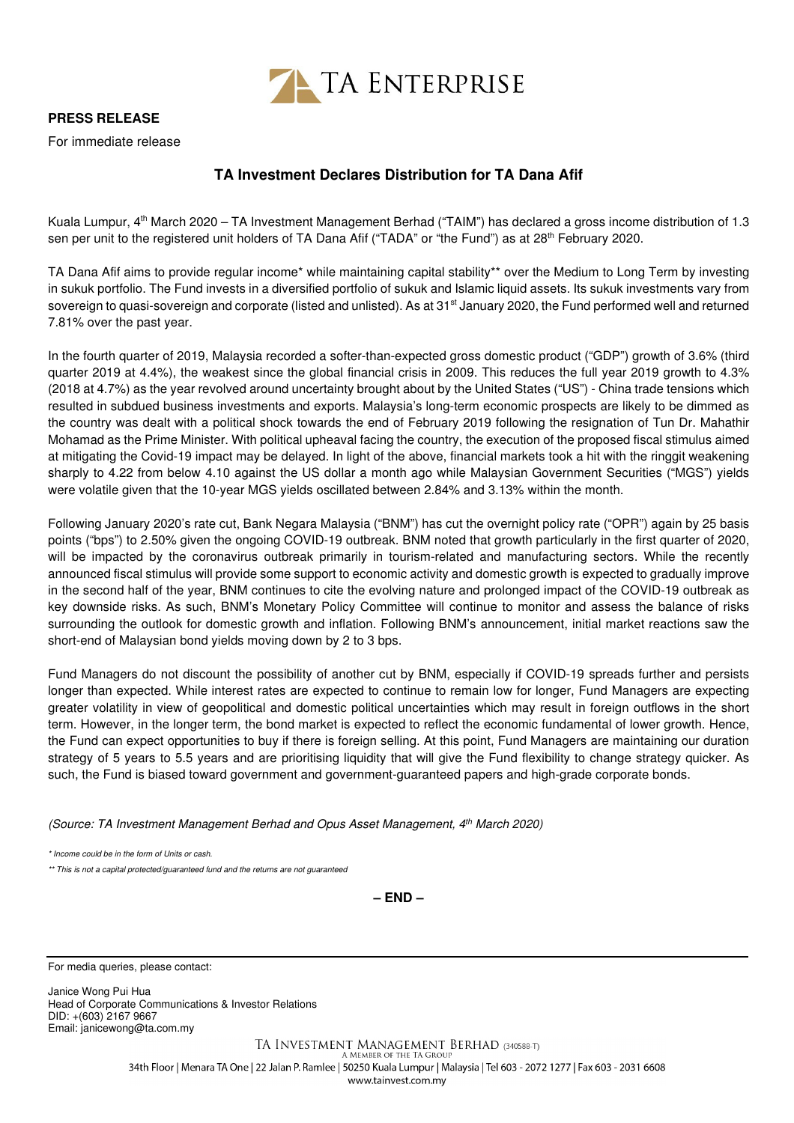

## **PRESS RELEASE**

For immediate release

## **TA Investment Declares Distribution for TA Dana Afif**

Kuala Lumpur, 4<sup>th</sup> March 2020 – TA Investment Management Berhad ("TAIM") has declared a gross income distribution of 1.3 sen per unit to the registered unit holders of TA Dana Afif ("TADA" or "the Fund") as at 28<sup>th</sup> February 2020.

TA Dana Afif aims to provide regular income\* while maintaining capital stability\*\* over the Medium to Long Term by investing in sukuk portfolio. The Fund invests in a diversified portfolio of sukuk and Islamic liquid assets. Its sukuk investments vary from sovereign to quasi-sovereign and corporate (listed and unlisted). As at 31<sup>st</sup> January 2020, the Fund performed well and returned 7.81% over the past year.

In the fourth quarter of 2019, Malaysia recorded a softer-than-expected gross domestic product ("GDP") growth of 3.6% (third quarter 2019 at 4.4%), the weakest since the global financial crisis in 2009. This reduces the full year 2019 growth to 4.3% (2018 at 4.7%) as the year revolved around uncertainty brought about by the United States ("US") - China trade tensions which resulted in subdued business investments and exports. Malaysia's long-term economic prospects are likely to be dimmed as the country was dealt with a political shock towards the end of February 2019 following the resignation of Tun Dr. Mahathir Mohamad as the Prime Minister. With political upheaval facing the country, the execution of the proposed fiscal stimulus aimed at mitigating the Covid-19 impact may be delayed. In light of the above, financial markets took a hit with the ringgit weakening sharply to 4.22 from below 4.10 against the US dollar a month ago while Malaysian Government Securities ("MGS") yields were volatile given that the 10-year MGS yields oscillated between 2.84% and 3.13% within the month.

Following January 2020's rate cut, Bank Negara Malaysia ("BNM") has cut the overnight policy rate ("OPR") again by 25 basis points ("bps") to 2.50% given the ongoing COVID-19 outbreak. BNM noted that growth particularly in the first quarter of 2020, will be impacted by the coronavirus outbreak primarily in tourism-related and manufacturing sectors. While the recently announced fiscal stimulus will provide some support to economic activity and domestic growth is expected to gradually improve in the second half of the year, BNM continues to cite the evolving nature and prolonged impact of the COVID-19 outbreak as key downside risks. As such, BNM's Monetary Policy Committee will continue to monitor and assess the balance of risks surrounding the outlook for domestic growth and inflation. Following BNM's announcement, initial market reactions saw the short-end of Malaysian bond yields moving down by 2 to 3 bps.

Fund Managers do not discount the possibility of another cut by BNM, especially if COVID-19 spreads further and persists longer than expected. While interest rates are expected to continue to remain low for longer, Fund Managers are expecting greater volatility in view of geopolitical and domestic political uncertainties which may result in foreign outflows in the short term. However, in the longer term, the bond market is expected to reflect the economic fundamental of lower growth. Hence, the Fund can expect opportunities to buy if there is foreign selling. At this point, Fund Managers are maintaining our duration strategy of 5 years to 5.5 years and are prioritising liquidity that will give the Fund flexibility to change strategy quicker. As such, the Fund is biased toward government and government-guaranteed papers and high-grade corporate bonds.

(Source: TA Investment Management Berhad and Opus Asset Management, 4th March 2020)

\* Income could be in the form of Units or cash.

\*\* This is not a capital protected/guaranteed fund and the returns are not guaranteed

**– END –**

For media queries, please contact:

Janice Wong Pui Hua Head of Corporate Communications & Investor Relations DID: +(603) 2167 9667 Email: janicewong@ta.com.my

> TA INVESTMENT MANAGEMENT BERHAD (340588-T) A MEMBER OF THE TA GROUP 34th Floor | Menara TA One | 22 Jalan P. Ramlee | 50250 Kuala Lumpur | Malaysia | Tel 603 - 2072 1277 | Fax 603 - 2031 6608 www.tainvest.com.mv